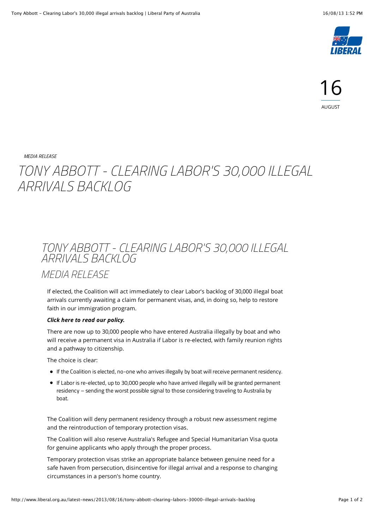

*[MEDIA RELEASE](http://www.liberal.org.au/category/media-release)*

## *TONY ABBOTT - CLEARING LABOR'S 30,000 ILLEGAL ARRIVALS BACKLOG*

## *TONY ABBOTT - CLEARING LABOR'S 30,000 ILLEGAL ARRIVALS BACKLOG*

*MEDIA RELEASE*

If elected, the Coalition will act immediately to clear Labor's backlog of 30,000 illegal boat arrivals currently awaiting a claim for permanent visas, and, in doing so, help to restore faith in our immigration program.

## *[Click here to read our policy.](http://lpaweb-static.s3.amazonaws.com/Policies/ClearLabor30000BorderFailureBacklog.pdf)*

There are now up to 30,000 people who have entered Australia illegally by boat and who will receive a permanent visa in Australia if Labor is re-elected, with family reunion rights and a pathway to citizenship.

The choice is clear:

- If the Coalition is elected, no-one who arrives illegally by boat will receive permanent residency.
- If Labor is re-elected, up to 30,000 people who have arrived illegally will be granted permanent residency – sending the worst possible signal to those considering traveling to Australia by boat.

The Coalition will deny permanent residency through a robust new assessment regime and the reintroduction of temporary protection visas.

The Coalition will also reserve Australia's Refugee and Special Humanitarian Visa quota for genuine applicants who apply through the proper process.

Temporary protection visas strike an appropriate balance between genuine need for a safe haven from persecution, disincentive for illegal arrival and a response to changing circumstances in a person's home country.